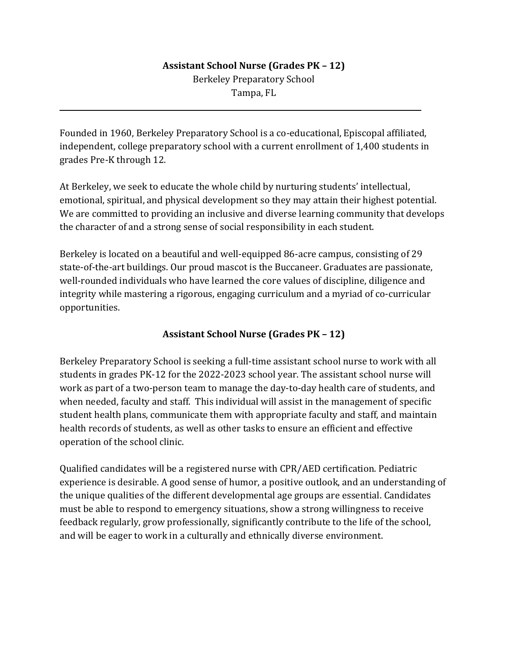## **Assistant School Nurse (Grades PK – 12)** Berkeley Preparatory School Tampa, FL

Founded in 1960, Berkeley Preparatory School is a co-educational, Episcopal affiliated, independent, college preparatory school with a current enrollment of 1,400 students in grades Pre-K through 12.

l

At Berkeley, we seek to educate the whole child by nurturing students' intellectual, emotional, spiritual, and physical development so they may attain their highest potential. We are committed to providing an inclusive and diverse learning community that develops the character of and a strong sense of social responsibility in each student.

Berkeley is located on a beautiful and well-equipped 86-acre campus, consisting of 29 state-of-the-art buildings. Our proud mascot is the Buccaneer. Graduates are passionate, well-rounded individuals who have learned the core values of discipline, diligence and integrity while mastering a rigorous, engaging curriculum and a myriad of co-curricular opportunities.

## **Assistant School Nurse (Grades PK – 12)**

Berkeley Preparatory School is seeking a full-time assistant school nurse to work with all students in grades PK-12 for the 2022-2023 school year. The assistant school nurse will work as part of a two-person team to manage the day-to-day health care of students, and when needed, faculty and staff. This individual will assist in the management of specific student health plans, communicate them with appropriate faculty and staff, and maintain health records of students, as well as other tasks to ensure an efficient and effective operation of the school clinic.

Qualified candidates will be a registered nurse with CPR/AED certification. Pediatric experience is desirable. A good sense of humor, a positive outlook, and an understanding of the unique qualities of the different developmental age groups are essential. Candidates must be able to respond to emergency situations, show a strong willingness to receive feedback regularly, grow professionally, significantly contribute to the life of the school, and will be eager to work in a culturally and ethnically diverse environment.